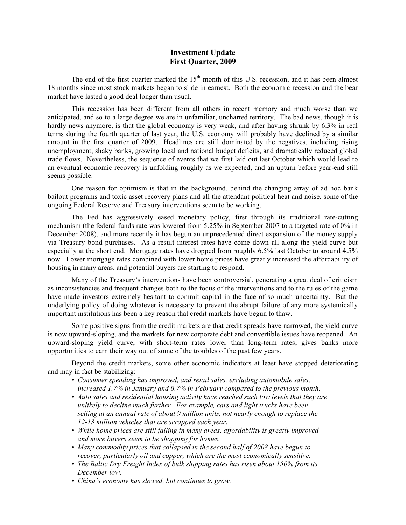## **Investment Update First Quarter, 2009**

The end of the first quarter marked the  $15<sup>th</sup>$  month of this U.S. recession, and it has been almost 18 months since most stock markets began to slide in earnest. Both the economic recession and the bear market have lasted a good deal longer than usual.

This recession has been different from all others in recent memory and much worse than we anticipated, and so to a large degree we are in unfamiliar, uncharted territory. The bad news, though it is hardly news anymore, is that the global economy is very weak, and after having shrunk by 6.3% in real terms during the fourth quarter of last year, the U.S. economy will probably have declined by a similar amount in the first quarter of 2009. Headlines are still dominated by the negatives, including rising unemployment, shaky banks, growing local and national budget deficits, and dramatically reduced global trade flows. Nevertheless, the sequence of events that we first laid out last October which would lead to an eventual economic recovery is unfolding roughly as we expected, and an upturn before year-end still seems possible.

One reason for optimism is that in the background, behind the changing array of ad hoc bank bailout programs and toxic asset recovery plans and all the attendant political heat and noise, some of the ongoing Federal Reserve and Treasury interventions seem to be working.

The Fed has aggressively eased monetary policy, first through its traditional rate-cutting mechanism (the federal funds rate was lowered from 5.25% in September 2007 to a targeted rate of 0% in December 2008), and more recently it has begun an unprecedented direct expansion of the money supply via Treasury bond purchases. As a result interest rates have come down all along the yield curve but especially at the short end. Mortgage rates have dropped from roughly 6.5% last October to around 4.5% now. Lower mortgage rates combined with lower home prices have greatly increased the affordability of housing in many areas, and potential buyers are starting to respond.

Many of the Treasury's interventions have been controversial, generating a great deal of criticism as inconsistencies and frequent changes both to the focus of the interventions and to the rules of the game have made investors extremely hesitant to commit capital in the face of so much uncertainty. But the underlying policy of doing whatever is necessary to prevent the abrupt failure of any more systemically important institutions has been a key reason that credit markets have begun to thaw.

Some positive signs from the credit markets are that credit spreads have narrowed, the yield curve is now upward-sloping, and the markets for new corporate debt and convertible issues have reopened. An upward-sloping yield curve, with short-term rates lower than long-term rates, gives banks more opportunities to earn their way out of some of the troubles of the past few years.

Beyond the credit markets, some other economic indicators at least have stopped deteriorating and may in fact be stabilizing:

- *• Consumer spending has improved, and retail sales, excluding automobile sales, increased 1.7% in January and 0.7% in February compared to the previous month.*
- *• Auto sales and residential housing activity have reached such low levels that they are unlikely to decline much further. For example, cars and light trucks have been selling at an annual rate of about 9 million units, not nearly enough to replace the 12-13 million vehicles that are scrapped each year.*
- *• While home prices are still falling in many areas, affordability is greatly improved and more buyers seem to be shopping for homes.*
- *• Many commodity prices that collapsed in the second half of 2008 have begun to recover, particularly oil and copper, which are the most economically sensitive.*
- *• The Baltic Dry Freight Index of bulk shipping rates has risen about 150% from its December low.*
- *• China's economy has slowed, but continues to grow.*